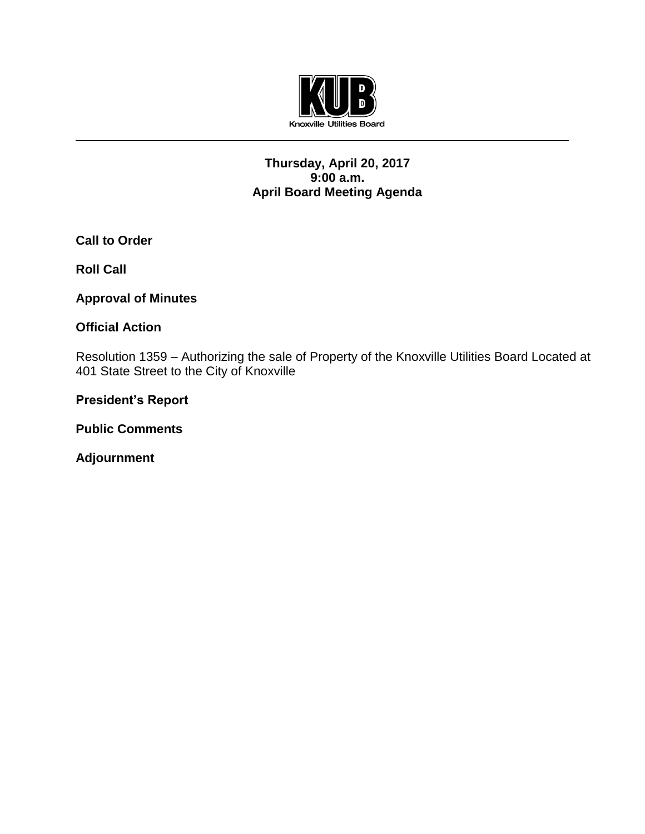

## **Thursday, April 20, 2017 9:00 a.m. April Board Meeting Agenda**

**Call to Order**

**Roll Call**

**Approval of Minutes**

## **Official Action**

Resolution 1359 – Authorizing the sale of Property of the Knoxville Utilities Board Located at 401 State Street to the City of Knoxville

**President's Report**

**Public Comments**

**Adjournment**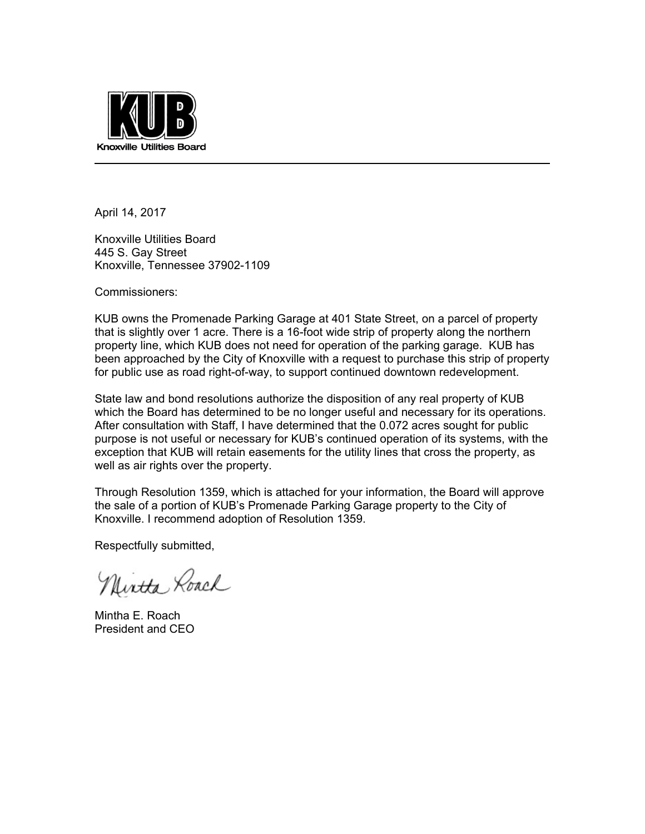

April 14, 2017

Knoxville Utilities Board 445 S. Gay Street Knoxville, Tennessee 37902-1109

Commissioners:

KUB owns the Promenade Parking Garage at 401 State Street, on a parcel of property that is slightly over 1 acre. There is a 16-foot wide strip of property along the northern property line, which KUB does not need for operation of the parking garage. KUB has been approached by the City of Knoxville with a request to purchase this strip of property for public use as road right-of-way, to support continued downtown redevelopment.

State law and bond resolutions authorize the disposition of any real property of KUB which the Board has determined to be no longer useful and necessary for its operations. After consultation with Staff, I have determined that the 0.072 acres sought for public purpose is not useful or necessary for KUB's continued operation of its systems, with the exception that KUB will retain easements for the utility lines that cross the property, as well as air rights over the property.

Through Resolution 1359, which is attached for your information, the Board will approve the sale of a portion of KUB's Promenade Parking Garage property to the City of Knoxville. I recommend adoption of Resolution 1359.

Respectfully submitted,

Nintha Roach

Mintha E. Roach President and CEO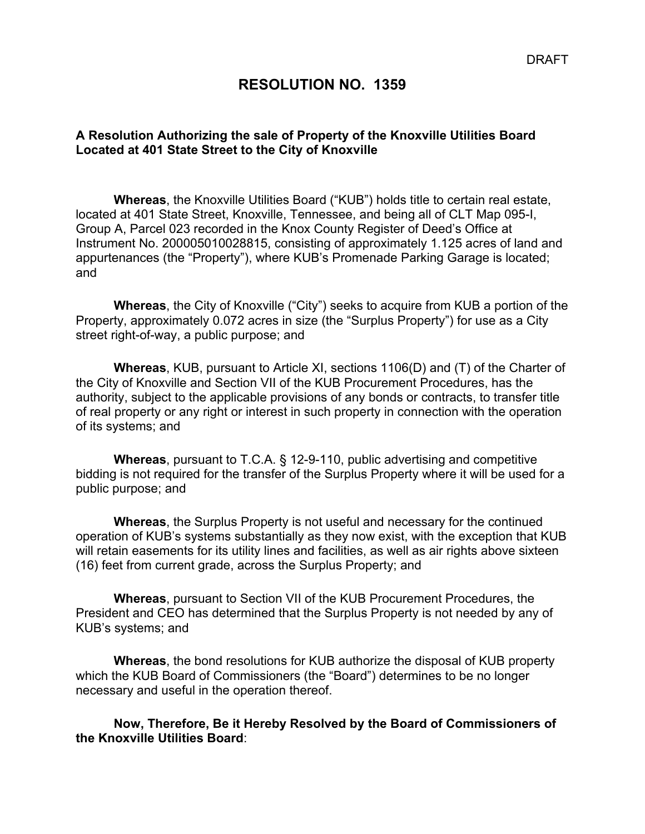# **RESOLUTION NO. 1359**

## **A Resolution Authorizing the sale of Property of the Knoxville Utilities Board Located at 401 State Street to the City of Knoxville**

**Whereas**, the Knoxville Utilities Board ("KUB") holds title to certain real estate, located at 401 State Street, Knoxville, Tennessee, and being all of CLT Map 095-I, Group A, Parcel 023 recorded in the Knox County Register of Deed's Office at Instrument No. 200005010028815, consisting of approximately 1.125 acres of land and appurtenances (the "Property"), where KUB's Promenade Parking Garage is located; and

**Whereas**, the City of Knoxville ("City") seeks to acquire from KUB a portion of the Property, approximately 0.072 acres in size (the "Surplus Property") for use as a City street right-of-way, a public purpose; and

**Whereas**, KUB, pursuant to Article XI, sections 1106(D) and (T) of the Charter of the City of Knoxville and Section VII of the KUB Procurement Procedures, has the authority, subject to the applicable provisions of any bonds or contracts, to transfer title of real property or any right or interest in such property in connection with the operation of its systems; and

**Whereas**, pursuant to T.C.A. § 12-9-110, public advertising and competitive bidding is not required for the transfer of the Surplus Property where it will be used for a public purpose; and

**Whereas**, the Surplus Property is not useful and necessary for the continued operation of KUB's systems substantially as they now exist, with the exception that KUB will retain easements for its utility lines and facilities, as well as air rights above sixteen (16) feet from current grade, across the Surplus Property; and

**Whereas**, pursuant to Section VII of the KUB Procurement Procedures, the President and CEO has determined that the Surplus Property is not needed by any of KUB's systems; and

**Whereas**, the bond resolutions for KUB authorize the disposal of KUB property which the KUB Board of Commissioners (the "Board") determines to be no longer necessary and useful in the operation thereof.

**Now, Therefore, Be it Hereby Resolved by the Board of Commissioners of the Knoxville Utilities Board**: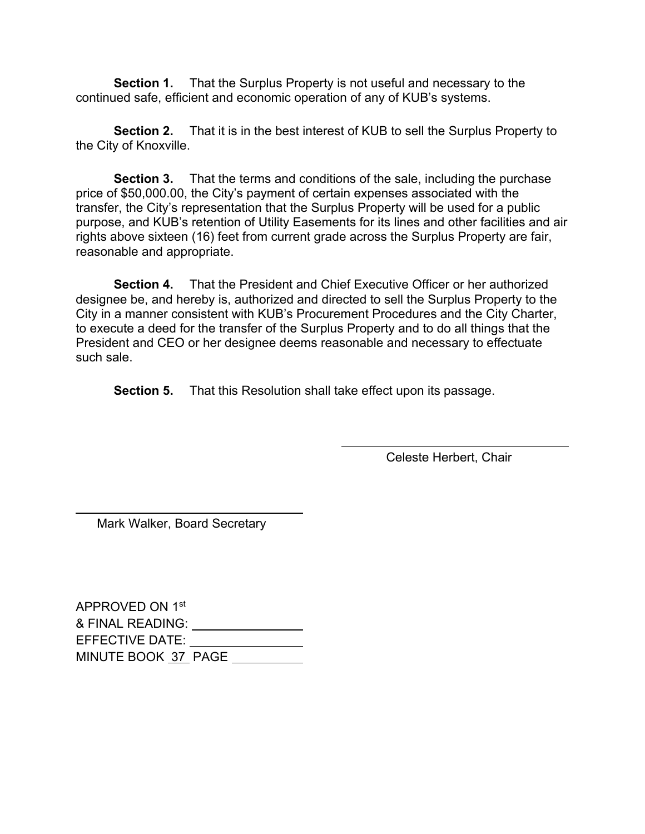**Section 1.** That the Surplus Property is not useful and necessary to the continued safe, efficient and economic operation of any of KUB's systems.

**Section 2.** That it is in the best interest of KUB to sell the Surplus Property to the City of Knoxville.

**Section 3.** That the terms and conditions of the sale, including the purchase price of \$50,000.00, the City's payment of certain expenses associated with the transfer, the City's representation that the Surplus Property will be used for a public purpose, and KUB's retention of Utility Easements for its lines and other facilities and air rights above sixteen (16) feet from current grade across the Surplus Property are fair, reasonable and appropriate.

**Section 4.** That the President and Chief Executive Officer or her authorized designee be, and hereby is, authorized and directed to sell the Surplus Property to the City in a manner consistent with KUB's Procurement Procedures and the City Charter, to execute a deed for the transfer of the Surplus Property and to do all things that the President and CEO or her designee deems reasonable and necessary to effectuate such sale.

**Section 5.** That this Resolution shall take effect upon its passage.

Celeste Herbert, Chair

Mark Walker, Board Secretary

 $\overline{a}$ 

APPROVED ON 1st & FINAL READING: EFFECTIVE DATE: MINUTE BOOK 37 PAGE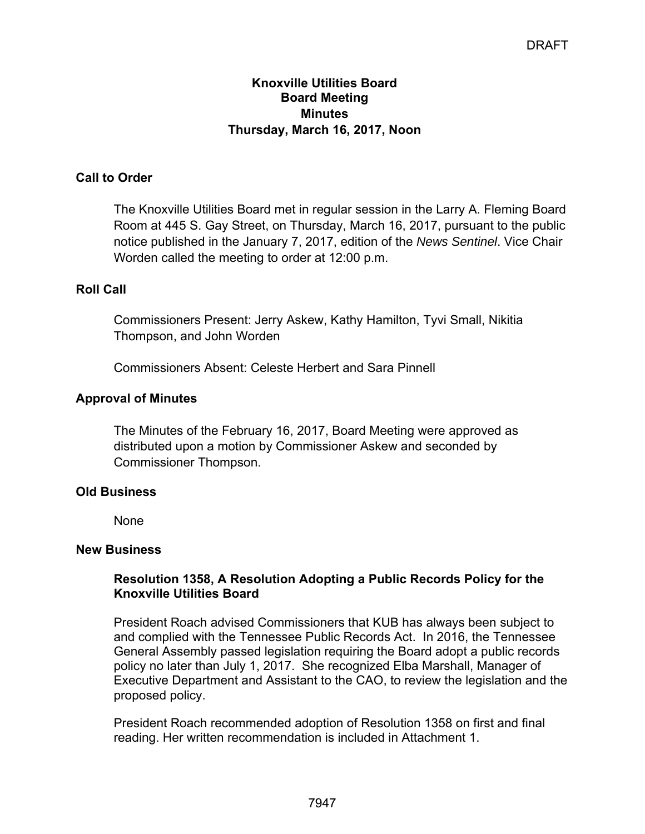## **Knoxville Utilities Board Board Meeting Minutes Thursday, March 16, 2017, Noon**

# **Call to Order**

The Knoxville Utilities Board met in regular session in the Larry A. Fleming Board Room at 445 S. Gay Street, on Thursday, March 16, 2017, pursuant to the public notice published in the January 7, 2017, edition of the *News Sentinel*. Vice Chair Worden called the meeting to order at 12:00 p.m.

## **Roll Call**

Commissioners Present: Jerry Askew, Kathy Hamilton, Tyvi Small, Nikitia Thompson, and John Worden

Commissioners Absent: Celeste Herbert and Sara Pinnell

## **Approval of Minutes**

The Minutes of the February 16, 2017, Board Meeting were approved as distributed upon a motion by Commissioner Askew and seconded by Commissioner Thompson.

## **Old Business**

None

## **New Business**

## **Resolution 1358, A Resolution Adopting a Public Records Policy for the Knoxville Utilities Board**

President Roach advised Commissioners that KUB has always been subject to and complied with the Tennessee Public Records Act. In 2016, the Tennessee General Assembly passed legislation requiring the Board adopt a public records policy no later than July 1, 2017. She recognized Elba Marshall, Manager of Executive Department and Assistant to the CAO, to review the legislation and the proposed policy.

President Roach recommended adoption of Resolution 1358 on first and final reading. Her written recommendation is included in Attachment 1.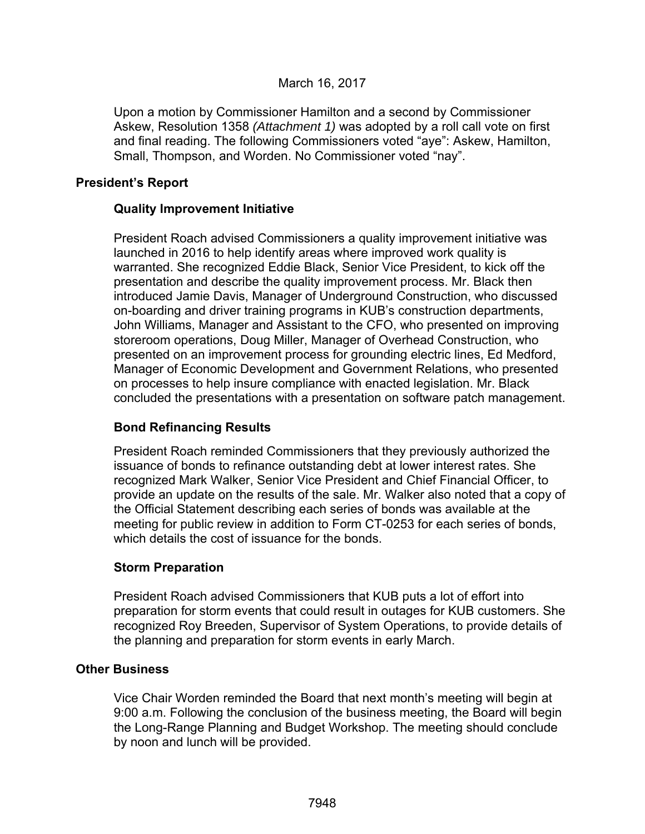## March 16, 2017

Upon a motion by Commissioner Hamilton and a second by Commissioner Askew, Resolution 1358 *(Attachment 1)* was adopted by a roll call vote on first and final reading. The following Commissioners voted "aye": Askew, Hamilton, Small, Thompson, and Worden. No Commissioner voted "nay".

## **President's Report**

## **Quality Improvement Initiative**

President Roach advised Commissioners a quality improvement initiative was launched in 2016 to help identify areas where improved work quality is warranted. She recognized Eddie Black, Senior Vice President, to kick off the presentation and describe the quality improvement process. Mr. Black then introduced Jamie Davis, Manager of Underground Construction, who discussed on-boarding and driver training programs in KUB's construction departments, John Williams, Manager and Assistant to the CFO, who presented on improving storeroom operations, Doug Miller, Manager of Overhead Construction, who presented on an improvement process for grounding electric lines, Ed Medford, Manager of Economic Development and Government Relations, who presented on processes to help insure compliance with enacted legislation. Mr. Black concluded the presentations with a presentation on software patch management.

## **Bond Refinancing Results**

President Roach reminded Commissioners that they previously authorized the issuance of bonds to refinance outstanding debt at lower interest rates. She recognized Mark Walker, Senior Vice President and Chief Financial Officer, to provide an update on the results of the sale. Mr. Walker also noted that a copy of the Official Statement describing each series of bonds was available at the meeting for public review in addition to Form CT-0253 for each series of bonds, which details the cost of issuance for the bonds.

## **Storm Preparation**

President Roach advised Commissioners that KUB puts a lot of effort into preparation for storm events that could result in outages for KUB customers. She recognized Roy Breeden, Supervisor of System Operations, to provide details of the planning and preparation for storm events in early March.

## **Other Business**

 Vice Chair Worden reminded the Board that next month's meeting will begin at 9:00 a.m. Following the conclusion of the business meeting, the Board will begin the Long-Range Planning and Budget Workshop. The meeting should conclude by noon and lunch will be provided.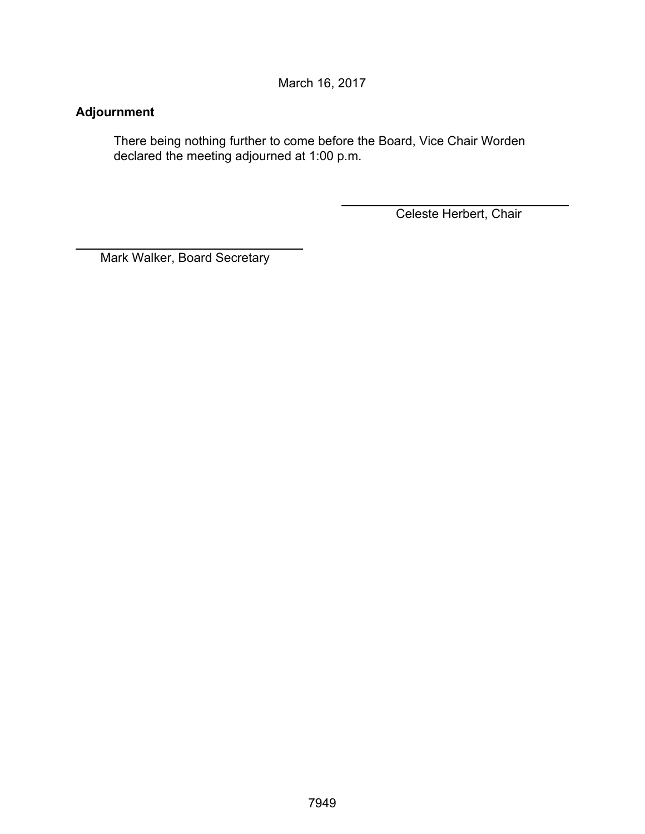March 16, 2017

# **Adjournment**

 $\overline{a}$ 

There being nothing further to come before the Board, Vice Chair Worden declared the meeting adjourned at 1:00 p.m.

Celeste Herbert, Chair

Mark Walker, Board Secretary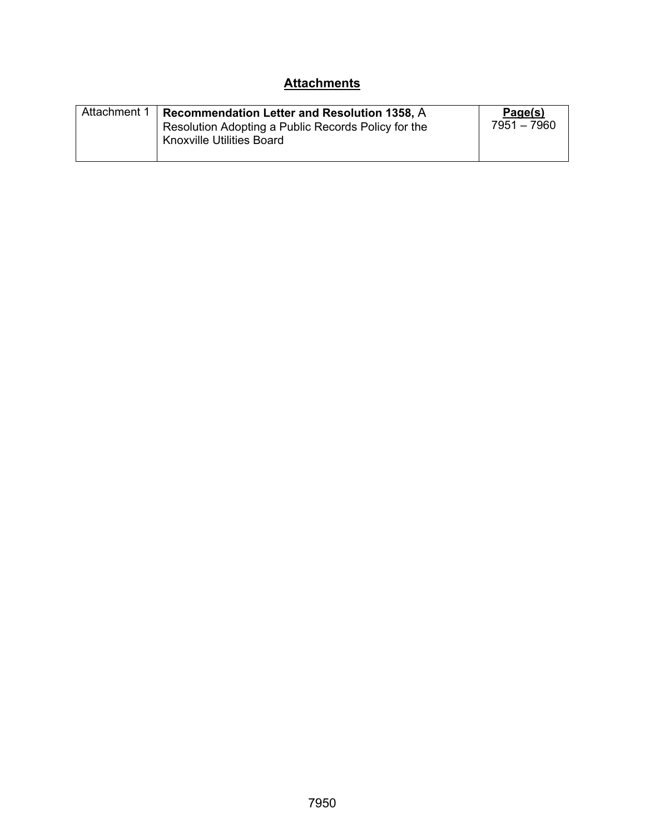# **Attachments**

| Attachment 1 | Recommendation Letter and Resolution 1358, A<br>Resolution Adopting a Public Records Policy for the | Page(s)<br>7951 - 7960 |
|--------------|-----------------------------------------------------------------------------------------------------|------------------------|
|              | <b>Knoxville Utilities Board</b>                                                                    |                        |
|              |                                                                                                     |                        |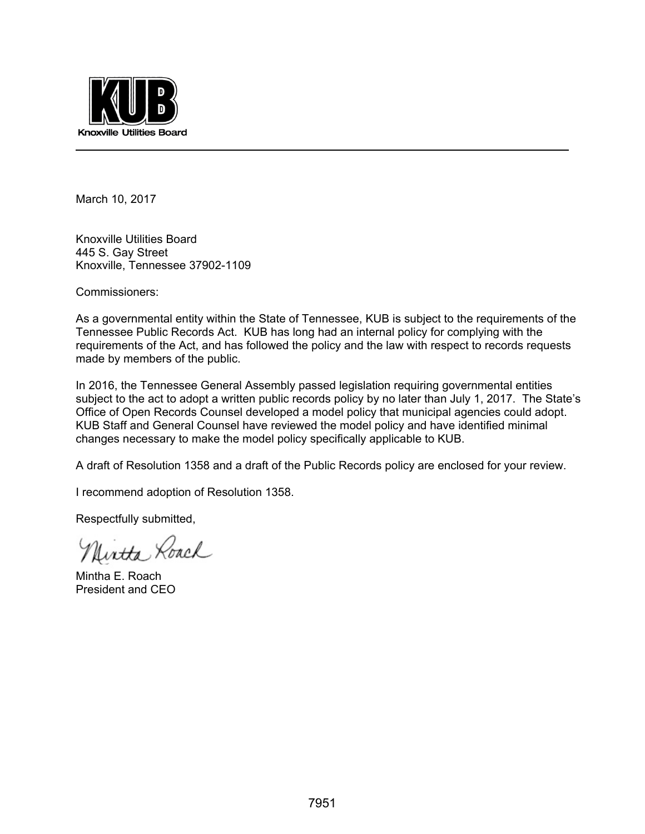

March 10, 2017

Knoxville Utilities Board 445 S. Gay Street Knoxville, Tennessee 37902-1109

Commissioners:

As a governmental entity within the State of Tennessee, KUB is subject to the requirements of the Tennessee Public Records Act. KUB has long had an internal policy for complying with the requirements of the Act, and has followed the policy and the law with respect to records requests made by members of the public.

In 2016, the Tennessee General Assembly passed legislation requiring governmental entities subject to the act to adopt a written public records policy by no later than July 1, 2017. The State's Office of Open Records Counsel developed a model policy that municipal agencies could adopt. KUB Staff and General Counsel have reviewed the model policy and have identified minimal changes necessary to make the model policy specifically applicable to KUB.

A draft of Resolution 1358 and a draft of the Public Records policy are enclosed for your review.

I recommend adoption of Resolution 1358.

Respectfully submitted,

Uirtha Roach

Mintha E. Roach President and CEO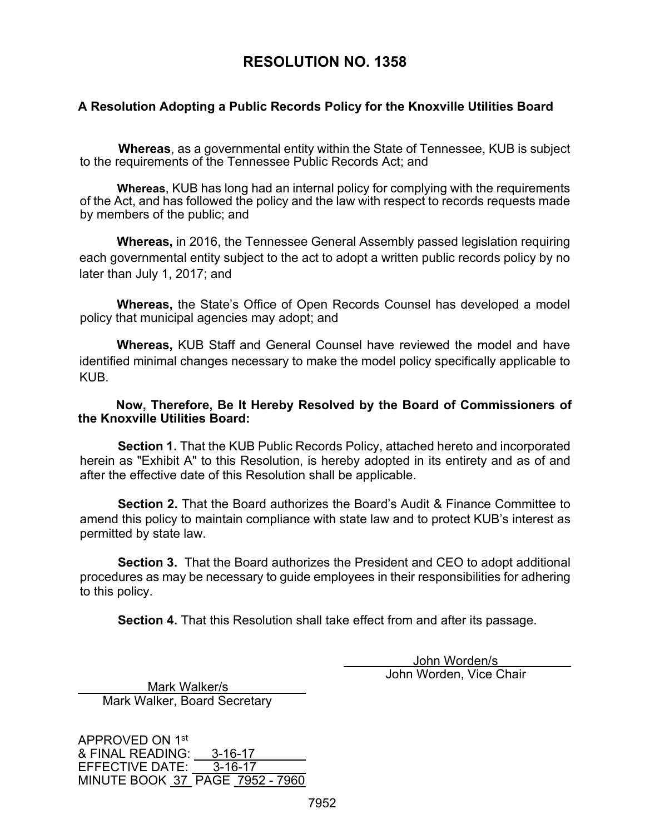# **RESOLUTION NO. 1358**

## **A Resolution Adopting a Public Records Policy for the Knoxville Utilities Board**

**Whereas**, as a governmental entity within the State of Tennessee, KUB is subject to the requirements of the Tennessee Public Records Act; and

**Whereas**, KUB has long had an internal policy for complying with the requirements of the Act, and has followed the policy and the law with respect to records requests made by members of the public; and

**Whereas,** in 2016, the Tennessee General Assembly passed legislation requiring each governmental entity subject to the act to adopt a written public records policy by no later than July 1, 2017; and

**Whereas,** the State's Office of Open Records Counsel has developed a model policy that municipal agencies may adopt; and

**Whereas,** KUB Staff and General Counsel have reviewed the model and have identified minimal changes necessary to make the model policy specifically applicable to KUB.

## **Now, Therefore, Be It Hereby Resolved by the Board of Commissioners of the Knoxville Utilities Board:**

**Section 1.** That the KUB Public Records Policy, attached hereto and incorporated herein as "Exhibit A" to this Resolution, is hereby adopted in its entirety and as of and after the effective date of this Resolution shall be applicable.

**Section 2.** That the Board authorizes the Board's Audit & Finance Committee to amend this policy to maintain compliance with state law and to protect KUB's interest as permitted by state law.

**Section 3.** That the Board authorizes the President and CEO to adopt additional procedures as may be necessary to guide employees in their responsibilities for adhering to this policy.

**Section 4.** That this Resolution shall take effect from and after its passage.

 John Worden/s John Worden, Vice Chair

 Mark Walker/s Mark Walker, Board Secretary

APPROVED ON 1st & FINAL READING: 3-16-17<br>EFFECTIVE DATE: 3-16-17 EFFECTIVE DATE: MINUTE BOOK 37 PAGE 7952 - 7960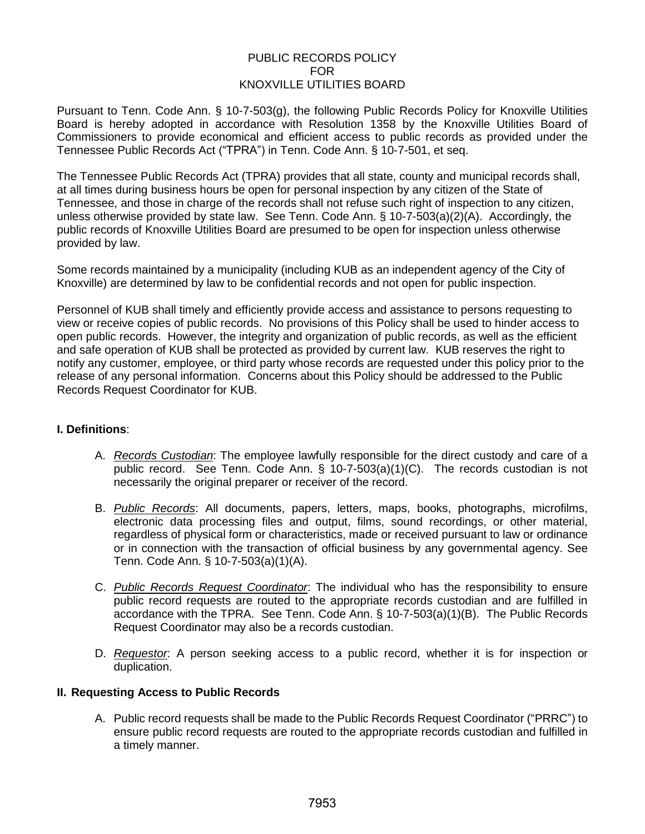## PUBLIC RECORDS POLICY FOR KNOXVILLE UTILITIES BOARD

Pursuant to Tenn. Code Ann. § 10-7-503(g), the following Public Records Policy for Knoxville Utilities Board is hereby adopted in accordance with Resolution 1358 by the Knoxville Utilities Board of Commissioners to provide economical and efficient access to public records as provided under the Tennessee Public Records Act ("TPRA") in Tenn. Code Ann. § 10-7-501, et seq.

The Tennessee Public Records Act (TPRA) provides that all state, county and municipal records shall, at all times during business hours be open for personal inspection by any citizen of the State of Tennessee, and those in charge of the records shall not refuse such right of inspection to any citizen, unless otherwise provided by state law. See Tenn. Code Ann. § 10-7-503(a)(2)(A). Accordingly, the public records of Knoxville Utilities Board are presumed to be open for inspection unless otherwise provided by law.

Some records maintained by a municipality (including KUB as an independent agency of the City of Knoxville) are determined by law to be confidential records and not open for public inspection.

Personnel of KUB shall timely and efficiently provide access and assistance to persons requesting to view or receive copies of public records. No provisions of this Policy shall be used to hinder access to open public records. However, the integrity and organization of public records, as well as the efficient and safe operation of KUB shall be protected as provided by current law. KUB reserves the right to notify any customer, employee, or third party whose records are requested under this policy prior to the release of any personal information. Concerns about this Policy should be addressed to the Public Records Request Coordinator for KUB.

### **I. Definitions**:

- A. *Records Custodian*: The employee lawfully responsible for the direct custody and care of a public record. See Tenn. Code Ann. § 10-7-503(a)(1)(C). The records custodian is not necessarily the original preparer or receiver of the record.
- B. *Public Records*: All documents, papers, letters, maps, books, photographs, microfilms, electronic data processing files and output, films, sound recordings, or other material, regardless of physical form or characteristics, made or received pursuant to law or ordinance or in connection with the transaction of official business by any governmental agency. See Tenn. Code Ann. § 10-7-503(a)(1)(A).
- C. *Public Records Request Coordinator*: The individual who has the responsibility to ensure public record requests are routed to the appropriate records custodian and are fulfilled in accordance with the TPRA. See Tenn. Code Ann. § 10-7-503(a)(1)(B). The Public Records Request Coordinator may also be a records custodian.
- D. *Requestor*: A person seeking access to a public record, whether it is for inspection or duplication.

### **II. Requesting Access to Public Records**

A. Public record requests shall be made to the Public Records Request Coordinator ("PRRC") to ensure public record requests are routed to the appropriate records custodian and fulfilled in a timely manner.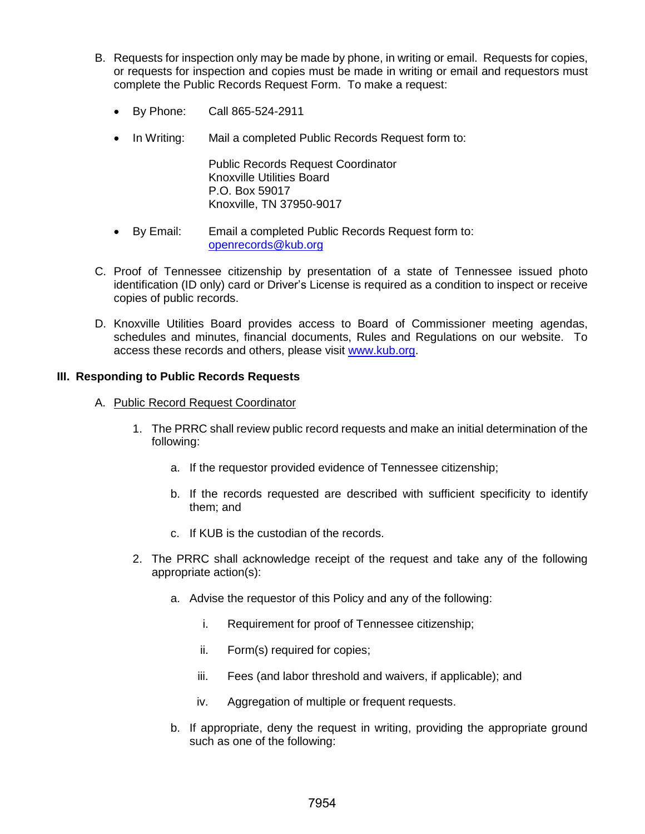- B. Requests for inspection only may be made by phone, in writing or email. Requests for copies, or requests for inspection and copies must be made in writing or email and requestors must complete the Public Records Request Form. To make a request:
	- By Phone: Call 865-524-2911
	- In Writing: Mail a completed Public Records Request form to:

Public Records Request Coordinator Knoxville Utilities Board [P.O. Box 59017](mailto:openrecords@kub.org) Knoxville, TN 37950-9017

- By Email: Email a completed Public Records Request form to: openrecords@kub.org
- C. Proof of Tennessee citizenship by presentation of a state of Tennessee issued photo identification (ID only) card or Driver's License is required as a condition to inspect or receive copies of public records.
- D. Knoxville Utilities Board provides access to Board of Commissioner meeting agendas, schedules and minutes, financial documents, Rules and Regulations on our website. To access these records and others, please visit www.kub.org.

### **III. Responding to Public Records Requests**

- A. Public Record Request Coordinator
	- 1. The PRRC shall review public record requests and make an initial determination of the following:
		- a. If the requestor provided evidence of Tennessee citizenship;
		- b. If the records requested are described with sufficient specificity to identify them; and
		- c. If KUB is the custodian of the records.
	- 2. The PRRC shall acknowledge receipt of the request and take any of the following appropriate action(s):
		- a. Advise the requestor of this Policy and any of the following:
			- i. Requirement for proof of Tennessee citizenship;
			- ii. Form(s) required for copies;
			- iii. Fees (and labor threshold and waivers, if applicable); and
			- iv. Aggregation of multiple or frequent requests.
		- b. If appropriate, deny the request in writing, providing the appropriate ground such as one of the following: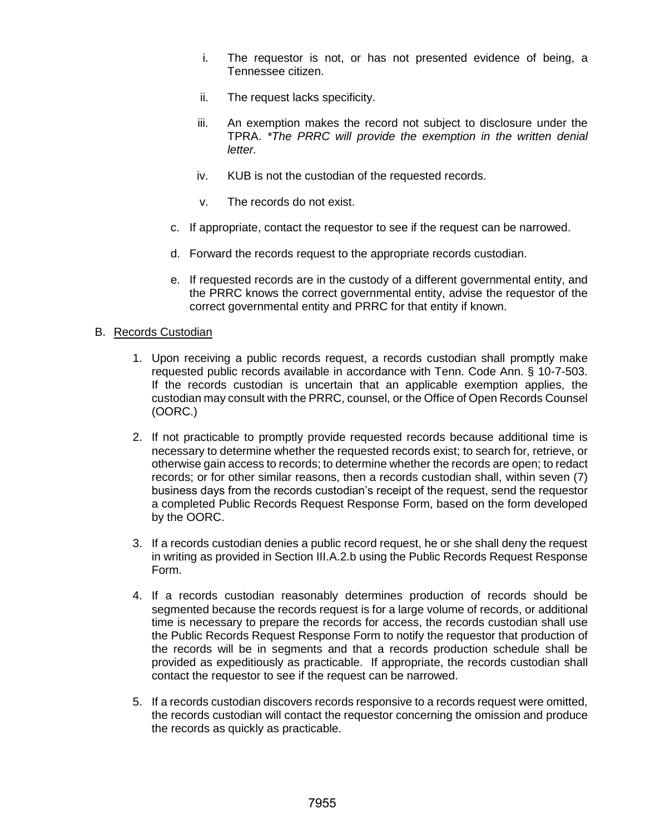- i. The requestor is not, or has not presented evidence of being, a Tennessee citizen.
- ii. The request lacks specificity.
- iii. An exemption makes the record not subject to disclosure under the TPRA. *\*The PRRC will provide the exemption in the written denial letter.*
- iv. KUB is not the custodian of the requested records.
- v. The records do not exist.
- c. If appropriate, contact the requestor to see if the request can be narrowed.
- d. Forward the records request to the appropriate records custodian.
- e. If requested records are in the custody of a different governmental entity, and the PRRC knows the correct governmental entity, advise the requestor of the correct governmental entity and PRRC for that entity if known.

### B. Records Custodian

- 1. Upon receiving a public records request, a records custodian shall promptly make requested public records available in accordance with Tenn. Code Ann. § 10-7-503. If the records custodian is uncertain that an applicable exemption applies, the custodian may consult with the PRRC, counsel, or the Office of Open Records Counsel (OORC.)
- 2. If not practicable to promptly provide requested records because additional time is necessary to determine whether the requested records exist; to search for, retrieve, or otherwise gain access to records; to determine whether the records are open; to redact records; or for other similar reasons, then a records custodian shall, within seven (7) business days from the records custodian's receipt of the request, send the requestor a completed Public Records Request Response Form, based on the form developed by the OORC.
- 3. If a records custodian denies a public record request, he or she shall deny the request in writing as provided in Section III.A.2.b using the Public Records Request Response Form.
- 4. If a records custodian reasonably determines production of records should be segmented because the records request is for a large volume of records, or additional time is necessary to prepare the records for access, the records custodian shall use the Public Records Request Response Form to notify the requestor that production of the records will be in segments and that a records production schedule shall be provided as expeditiously as practicable. If appropriate, the records custodian shall contact the requestor to see if the request can be narrowed.
- 5. If a records custodian discovers records responsive to a records request were omitted, the records custodian will contact the requestor concerning the omission and produce the records as quickly as practicable.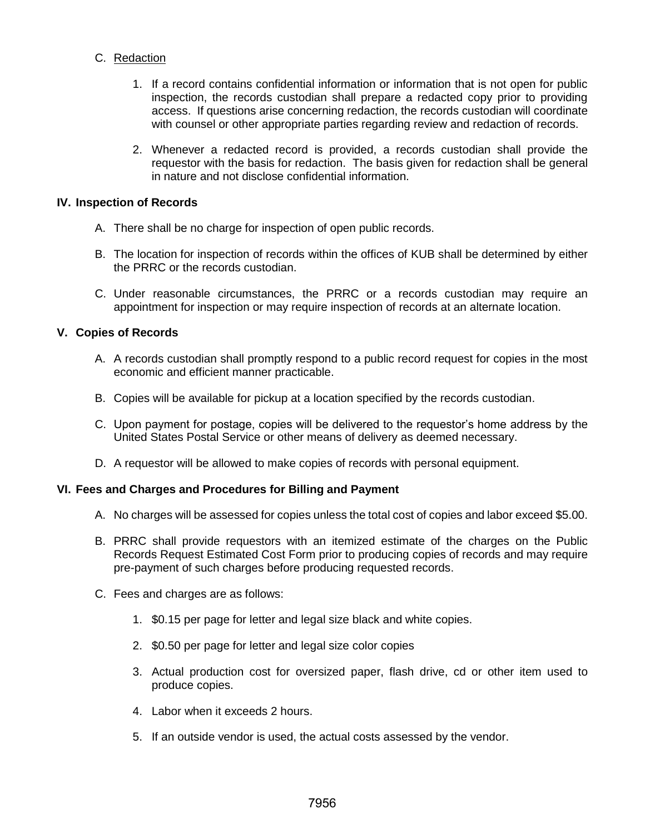## C. Redaction

- 1. If a record contains confidential information or information that is not open for public inspection, the records custodian shall prepare a redacted copy prior to providing access. If questions arise concerning redaction, the records custodian will coordinate with counsel or other appropriate parties regarding review and redaction of records.
- 2. Whenever a redacted record is provided, a records custodian shall provide the requestor with the basis for redaction. The basis given for redaction shall be general in nature and not disclose confidential information.

### **IV. Inspection of Records**

- A. There shall be no charge for inspection of open public records.
- B. The location for inspection of records within the offices of KUB shall be determined by either the PRRC or the records custodian.
- C. Under reasonable circumstances, the PRRC or a records custodian may require an appointment for inspection or may require inspection of records at an alternate location.

### **V. Copies of Records**

- A. A records custodian shall promptly respond to a public record request for copies in the most economic and efficient manner practicable.
- B. Copies will be available for pickup at a location specified by the records custodian.
- C. Upon payment for postage, copies will be delivered to the requestor's home address by the United States Postal Service or other means of delivery as deemed necessary.
- D. A requestor will be allowed to make copies of records with personal equipment.

### **VI. Fees and Charges and Procedures for Billing and Payment**

- A. No charges will be assessed for copies unless the total cost of copies and labor exceed \$5.00.
- B. PRRC shall provide requestors with an itemized estimate of the charges on the Public Records Request Estimated Cost Form prior to producing copies of records and may require pre-payment of such charges before producing requested records.
- C. Fees and charges are as follows:
	- 1. \$0.15 per page for letter and legal size black and white copies.
	- 2. \$0.50 per page for letter and legal size color copies
	- 3. Actual production cost for oversized paper, flash drive, cd or other item used to produce copies.
	- 4. Labor when it exceeds 2 hours.
	- 5. If an outside vendor is used, the actual costs assessed by the vendor.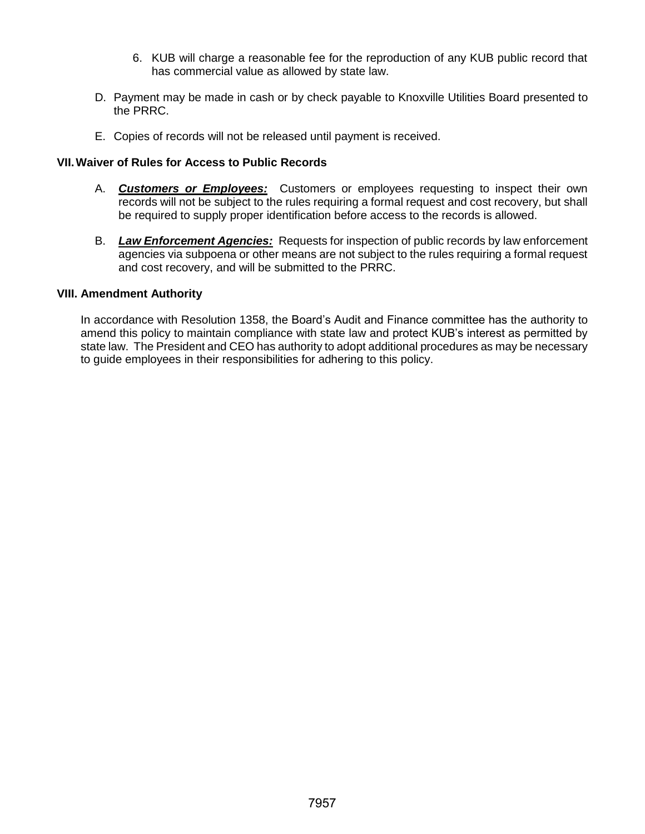- 6. KUB will charge a reasonable fee for the reproduction of any KUB public record that has commercial value as allowed by state law.
- D. Payment may be made in cash or by check payable to Knoxville Utilities Board presented to the PRRC.
- E. Copies of records will not be released until payment is received.

### **VII.Waiver of Rules for Access to Public Records**

- A. *Customers or Employees:* Customers or employees requesting to inspect their own records will not be subject to the rules requiring a formal request and cost recovery, but shall be required to supply proper identification before access to the records is allowed.
- B. *Law Enforcement Agencies:* Requests for inspection of public records by law enforcement agencies via subpoena or other means are not subject to the rules requiring a formal request and cost recovery, and will be submitted to the PRRC.

### **VIII. Amendment Authority**

In accordance with Resolution 1358, the Board's Audit and Finance committee has the authority to amend this policy to maintain compliance with state law and protect KUB's interest as permitted by state law. The President and CEO has authority to adopt additional procedures as may be necessary to guide employees in their responsibilities for adhering to this policy.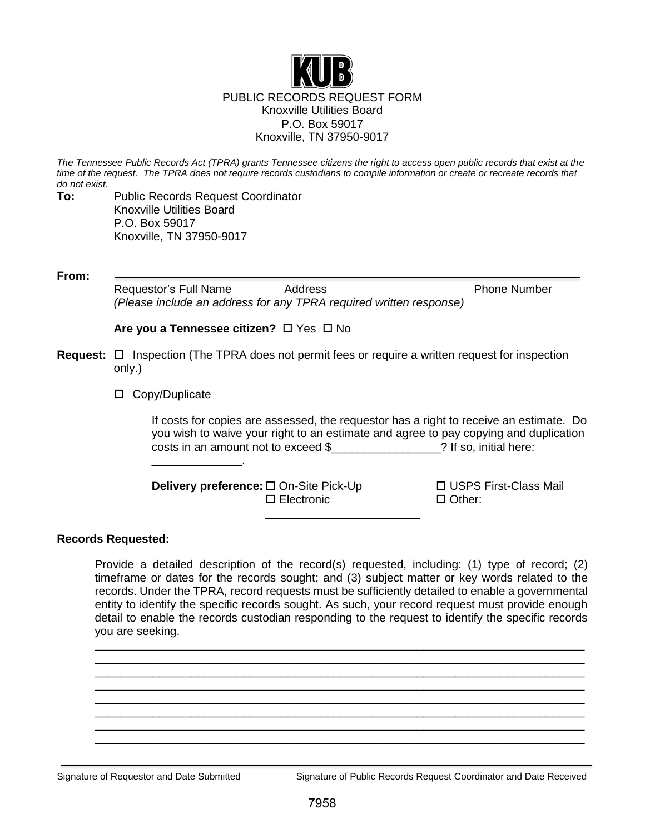

*The Tennessee Public Records Act (TPRA) grants Tennessee citizens the right to access open public records that exist at the time of the request. The TPRA does not require records custodians to compile information or create or recreate records that do not exist.*

**To:** Public Records Request Coordinator Knoxville Utilities Board P.O. Box 59017 Knoxville, TN 37950-9017

**From:**

Requestor's Full Name Address **Phone Number** Phone Number *(Please include an address for any TPRA required written response)*

**Are you a Tennessee citizen?** □ Yes □ No

- **Request:** □ Inspection (The TPRA does not permit fees or require a written request for inspection only.)
	- □ Copy/Duplicate

\_\_\_\_\_\_\_\_\_\_\_\_\_\_.

If costs for copies are assessed, the requestor has a right to receive an estimate. Do you wish to waive your right to an estimate and agree to pay copying and duplication costs in an amount not to exceed \$<br>
<br>
2 If so, initial here:

**Delivery preference:** □ On-Site Pick-Up USPS First-Class Mail Electronic Other:

### **Records Requested:**

Provide a detailed description of the record(s) requested, including: (1) type of record; (2) timeframe or dates for the records sought; and (3) subject matter or key words related to the records. Under the TPRA, record requests must be sufficiently detailed to enable a governmental entity to identify the specific records sought. As such, your record request must provide enough detail to enable the records custodian responding to the request to identify the specific records you are seeking.

\_\_\_\_\_\_\_\_\_\_\_\_\_\_\_\_\_\_\_\_\_\_\_\_\_\_\_\_\_\_\_\_\_\_\_\_\_\_\_\_\_\_\_\_\_\_\_\_\_\_\_\_\_\_\_\_\_\_\_\_\_\_\_\_\_\_\_\_\_\_\_\_\_\_\_\_ \_\_\_\_\_\_\_\_\_\_\_\_\_\_\_\_\_\_\_\_\_\_\_\_\_\_\_\_\_\_\_\_\_\_\_\_\_\_\_\_\_\_\_\_\_\_\_\_\_\_\_\_\_\_\_\_\_\_\_\_\_\_\_\_\_\_\_\_\_\_\_\_\_\_\_\_ \_\_\_\_\_\_\_\_\_\_\_\_\_\_\_\_\_\_\_\_\_\_\_\_\_\_\_\_\_\_\_\_\_\_\_\_\_\_\_\_\_\_\_\_\_\_\_\_\_\_\_\_\_\_\_\_\_\_\_\_\_\_\_\_\_\_\_\_\_\_\_\_\_\_\_\_ \_\_\_\_\_\_\_\_\_\_\_\_\_\_\_\_\_\_\_\_\_\_\_\_\_\_\_\_\_\_\_\_\_\_\_\_\_\_\_\_\_\_\_\_\_\_\_\_\_\_\_\_\_\_\_\_\_\_\_\_\_\_\_\_\_\_\_\_\_\_\_\_\_\_\_\_ \_\_\_\_\_\_\_\_\_\_\_\_\_\_\_\_\_\_\_\_\_\_\_\_\_\_\_\_\_\_\_\_\_\_\_\_\_\_\_\_\_\_\_\_\_\_\_\_\_\_\_\_\_\_\_\_\_\_\_\_\_\_\_\_\_\_\_\_\_\_\_\_\_\_\_\_ \_\_\_\_\_\_\_\_\_\_\_\_\_\_\_\_\_\_\_\_\_\_\_\_\_\_\_\_\_\_\_\_\_\_\_\_\_\_\_\_\_\_\_\_\_\_\_\_\_\_\_\_\_\_\_\_\_\_\_\_\_\_\_\_\_\_\_\_\_\_\_\_\_\_\_\_ \_\_\_\_\_\_\_\_\_\_\_\_\_\_\_\_\_\_\_\_\_\_\_\_\_\_\_\_\_\_\_\_\_\_\_\_\_\_\_\_\_\_\_\_\_\_\_\_\_\_\_\_\_\_\_\_\_\_\_\_\_\_\_\_\_\_\_\_\_\_\_\_\_\_\_\_ \_\_\_\_\_\_\_\_\_\_\_\_\_\_\_\_\_\_\_\_\_\_\_\_\_\_\_\_\_\_\_\_\_\_\_\_\_\_\_\_\_\_\_\_\_\_\_\_\_\_\_\_\_\_\_\_\_\_\_\_\_\_\_\_\_\_\_\_\_\_\_\_\_\_\_\_

\_\_\_\_\_\_\_\_\_\_\_\_\_\_\_\_\_\_\_\_\_\_\_\_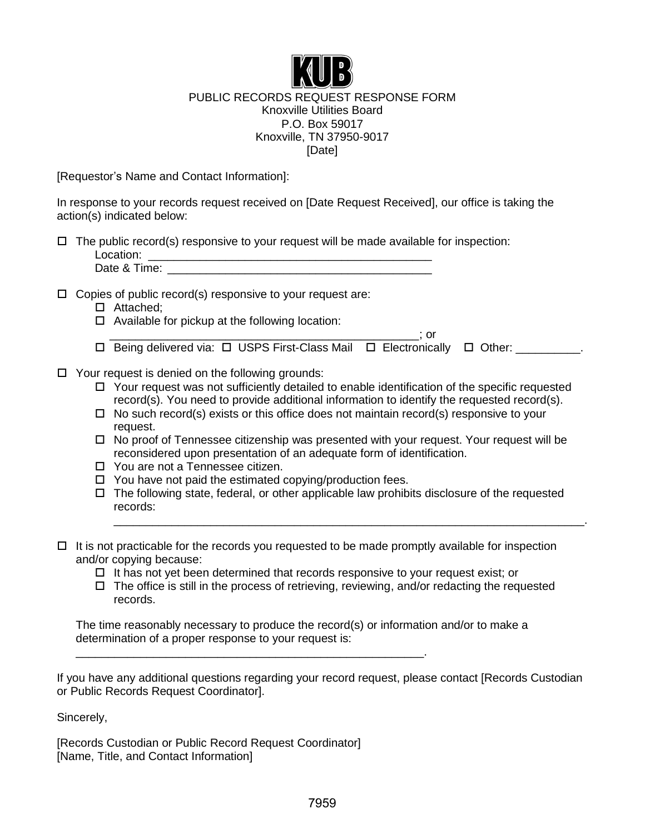

## PUBLIC RECORDS REQUEST RESPONSE FORM Knoxville Utilities Board P.O. Box 59017 Knoxville, TN 37950-9017 [Date]

[Requestor's Name and Contact Information]:

In response to your records request received on [Date Request Received], our office is taking the action(s) indicated below:

| $\Box$ The public record(s) responsive to your request will be made available for inspection: |
|-----------------------------------------------------------------------------------------------|
| Location:                                                                                     |
| Date & Time:                                                                                  |

 $\Box$  Copies of public record(s) responsive to your request are:

- □ Attached;
- $\Box$  Available for pickup at the following location:
- $\overline{\phantom{a}}$  ; or  $\square$  Being delivered via:  $\square$  USPS First-Class Mail  $\square$  Electronically  $\square$  Other: \_\_\_\_\_\_\_\_\_.
- $\Box$  Your request is denied on the following grounds:
	- $\Box$  Your request was not sufficiently detailed to enable identification of the specific requested record(s). You need to provide additional information to identify the requested record(s).
	- $\Box$  No such record(s) exists or this office does not maintain record(s) responsive to your request.
	- $\Box$  No proof of Tennessee citizenship was presented with your request. Your request will be reconsidered upon presentation of an adequate form of identification.
	- □ You are not a Tennessee citizen.
	- $\Box$  You have not paid the estimated copying/production fees.

\_\_\_\_\_\_\_\_\_\_\_\_\_\_\_\_\_\_\_\_\_\_\_\_\_\_\_\_\_\_\_\_\_\_\_\_\_\_\_\_\_\_\_\_\_\_\_\_\_\_\_\_\_\_.

 $\Box$  The following state, federal, or other applicable law prohibits disclosure of the requested records:

\_\_\_\_\_\_\_\_\_\_\_\_\_\_\_\_\_\_\_\_\_\_\_\_\_\_\_\_\_\_\_\_\_\_\_\_\_\_\_\_\_\_\_\_\_\_\_\_\_\_\_\_\_\_\_\_\_\_\_\_\_\_\_\_\_\_\_\_\_\_\_\_\_.

- $\Box$  It is not practicable for the records you requested to be made promptly available for inspection and/or copying because:
	- $\Box$  It has not yet been determined that records responsive to your request exist; or
	- $\Box$  The office is still in the process of retrieving, reviewing, and/or redacting the requested records.

The time reasonably necessary to produce the record(s) or information and/or to make a determination of a proper response to your request is:

If you have any additional questions regarding your record request, please contact [Records Custodian or Public Records Request Coordinator].

Sincerely,

[Records Custodian or Public Record Request Coordinator] [Name, Title, and Contact Information]